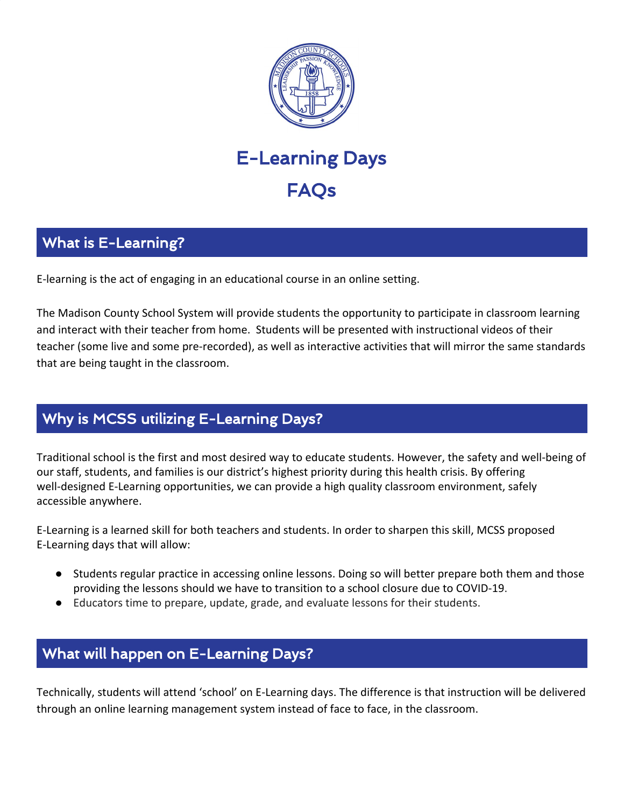

# E-Learning Days **FAOs**

# What is E-Learning?

E-learning is the act of engaging in an educational course in an online setting.

The Madison County School System will provide students the opportunity to participate in classroom learning and interact with their teacher from home. Students will be presented with instructional videos of their teacher (some live and some pre-recorded), as well as interactive activities that will mirror the same standards that are being taught in the classroom.

### Why is MCSS utilizing E-Learning Days?

Traditional school is the first and most desired way to educate students. However, the safety and well-being of our staff, students, and families is our district's highest priority during this health crisis. By offering well-designed E-Learning opportunities, we can provide a high quality classroom environment, safely accessible anywhere.

E-Learning is a learned skill for both teachers and students. In order to sharpen this skill, MCSS proposed E-Learning days that will allow:

- Students regular practice in accessing online lessons. Doing so will better prepare both them and those providing the lessons should we have to transition to a school closure due to COVID-19.
- Educators time to prepare, update, grade, and evaluate lessons for their students.

# What will happen on E-Learning Days?

Technically, students will attend 'school' on E-Learning days. The difference is that instruction will be delivered through an online learning management system instead of face to face, in the classroom.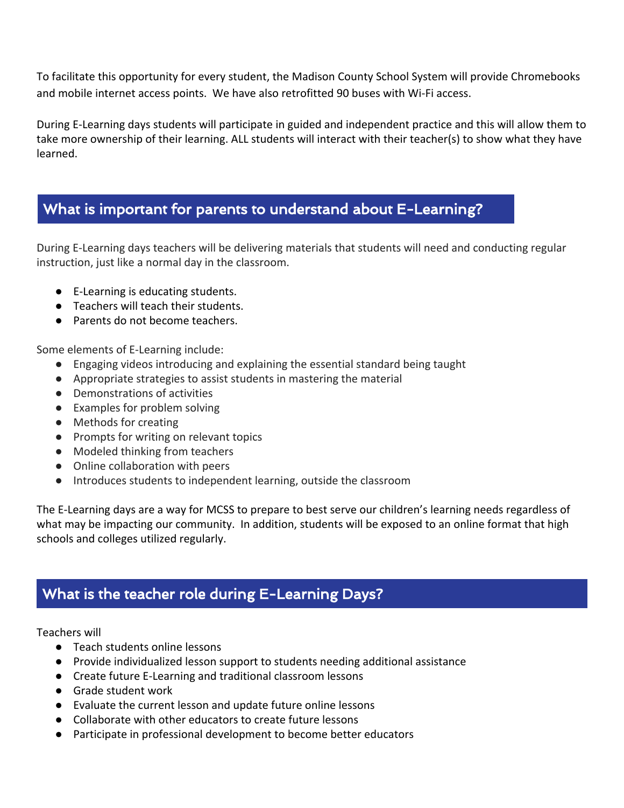To facilitate this opportunity for every student, the Madison County School System will provide Chromebooks and mobile internet access points. We have also retrofitted 90 buses with Wi-Fi access.

During E-Learning days students will participate in guided and independent practice and this will allow them to take more ownership of their learning. ALL students will interact with their teacher(s) to show what they have learned.

#### What is important for parents to understand about E-Learning?

During E-Learning days teachers will be delivering materials that students will need and conducting regular instruction, just like a normal day in the classroom.

- E-Learning is educating students.
- Teachers will teach their students.
- Parents do not become teachers.

Some elements of E-Learning include:

- Engaging videos introducing and explaining the essential standard being taught
- Appropriate strategies to assist students in mastering the material
- Demonstrations of activities
- Examples for problem solving
- Methods for creating
- Prompts for writing on relevant topics
- Modeled thinking from teachers
- Online collaboration with peers
- Introduces students to independent learning, outside the classroom

The E-Learning days are a way for MCSS to prepare to best serve our children's learning needs regardless of what may be impacting our community. In addition, students will be exposed to an online format that high schools and colleges utilized regularly.

# What is the teacher role during E-Learning Days?

#### Teachers will

- Teach students online lessons
- Provide individualized lesson support to students needing additional assistance
- Create future E-Learning and traditional classroom lessons
- Grade student work
- Evaluate the current lesson and update future online lessons
- Collaborate with other educators to create future lessons
- Participate in professional development to become better educators